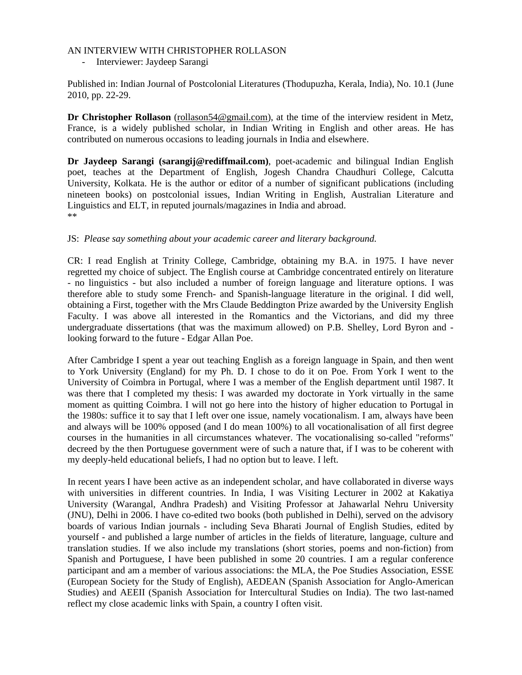## AN INTERVIEW WITH CHRISTOPHER ROLLASON

Interviewer: Jaydeep Sarangi

Published in: Indian Journal of Postcolonial Literatures (Thodupuzha, Kerala, India), No. 10.1 (June 2010, pp. 22-29.

**Dr Christopher Rollason** (rollason54@gmail.com), at the time of the interview resident in Metz, France, is a widely published scholar, in Indian Writing in English and other areas. He has contributed on numerous occasions to leading journals in India and elsewhere.

**Dr Jaydeep Sarangi (sarangij@rediffmail.com)**, poet-academic and bilingual Indian English poet, teaches at the Department of English, Jogesh Chandra Chaudhuri College, Calcutta University, Kolkata. He is the author or editor of a number of significant publications (including nineteen books) on postcolonial issues, Indian Writing in English, Australian Literature and Linguistics and ELT, in reputed journals/magazines in India and abroad. \*\*

# JS: *Please say something about your academic career and literary background.*

CR: I read English at Trinity College, Cambridge, obtaining my B.A. in 1975. I have never regretted my choice of subject. The English course at Cambridge concentrated entirely on literature - no linguistics - but also included a number of foreign language and literature options. I was therefore able to study some French- and Spanish-language literature in the original. I did well, obtaining a First, together with the Mrs Claude Beddington Prize awarded by the University English Faculty. I was above all interested in the Romantics and the Victorians, and did my three undergraduate dissertations (that was the maximum allowed) on P.B. Shelley, Lord Byron and looking forward to the future - Edgar Allan Poe.

After Cambridge I spent a year out teaching English as a foreign language in Spain, and then went to York University (England) for my Ph. D. I chose to do it on Poe. From York I went to the University of Coimbra in Portugal, where I was a member of the English department until 1987. It was there that I completed my thesis: I was awarded my doctorate in York virtually in the same moment as quitting Coimbra. I will not go here into the history of higher education to Portugal in the 1980s: suffice it to say that I left over one issue, namely vocationalism. I am, always have been and always will be 100% opposed (and I do mean 100%) to all vocationalisation of all first degree courses in the humanities in all circumstances whatever. The vocationalising so-called "reforms" decreed by the then Portuguese government were of such a nature that, if I was to be coherent with my deeply-held educational beliefs, I had no option but to leave. I left.

In recent years I have been active as an independent scholar, and have collaborated in diverse ways with universities in different countries. In India, I was Visiting Lecturer in 2002 at Kakatiya University (Warangal, Andhra Pradesh) and Visiting Professor at Jahawarlal Nehru University (JNU), Delhi in 2006. I have co-edited two books (both published in Delhi), served on the advisory boards of various Indian journals - including Seva Bharati Journal of English Studies, edited by yourself - and published a large number of articles in the fields of literature, language, culture and translation studies. If we also include my translations (short stories, poems and non-fiction) from Spanish and Portuguese, I have been published in some 20 countries. I am a regular conference participant and am a member of various associations: the MLA, the Poe Studies Association, ESSE (European Society for the Study of English), AEDEAN (Spanish Association for Anglo-American Studies) and AEEII (Spanish Association for Intercultural Studies on India). The two last-named reflect my close academic links with Spain, a country I often visit.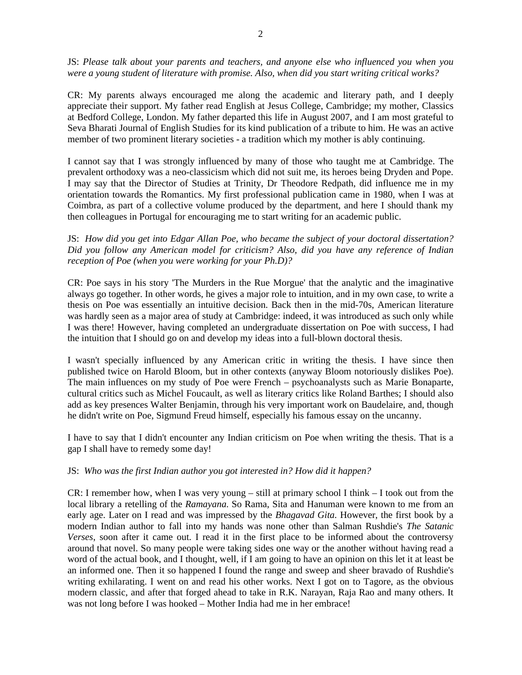JS: *Please talk about your parents and teachers, and anyone else who influenced you when you were a young student of literature with promise. Also, when did you start writing critical works?*

CR: My parents always encouraged me along the academic and literary path, and I deeply appreciate their support. My father read English at Jesus College, Cambridge; my mother, Classics at Bedford College, London. My father departed this life in August 2007, and I am most grateful to Seva Bharati Journal of English Studies for its kind publication of a tribute to him. He was an active member of two prominent literary societies - a tradition which my mother is ably continuing.

I cannot say that I was strongly influenced by many of those who taught me at Cambridge. The prevalent orthodoxy was a neo-classicism which did not suit me, its heroes being Dryden and Pope. I may say that the Director of Studies at Trinity, Dr Theodore Redpath, did influence me in my orientation towards the Romantics. My first professional publication came in 1980, when I was at Coimbra, as part of a collective volume produced by the department, and here I should thank my then colleagues in Portugal for encouraging me to start writing for an academic public.

JS: *How did you get into Edgar Allan Poe, who became the subject of your doctoral dissertation? Did you follow any American model for criticism? Also, did you have any reference of Indian reception of Poe (when you were working for your Ph.D)?*

CR: Poe says in his story 'The Murders in the Rue Morgue' that the analytic and the imaginative always go together. In other words, he gives a major role to intuition, and in my own case, to write a thesis on Poe was essentially an intuitive decision. Back then in the mid-70s, American literature was hardly seen as a major area of study at Cambridge: indeed, it was introduced as such only while I was there! However, having completed an undergraduate dissertation on Poe with success, I had the intuition that I should go on and develop my ideas into a full-blown doctoral thesis.

I wasn't specially influenced by any American critic in writing the thesis. I have since then published twice on Harold Bloom, but in other contexts (anyway Bloom notoriously dislikes Poe). The main influences on my study of Poe were French – psychoanalysts such as Marie Bonaparte, cultural critics such as Michel Foucault, as well as literary critics like Roland Barthes; I should also add as key presences Walter Benjamin, through his very important work on Baudelaire, and, though he didn't write on Poe, Sigmund Freud himself, especially his famous essay on the uncanny.

I have to say that I didn't encounter any Indian criticism on Poe when writing the thesis. That is a gap I shall have to remedy some day!

## JS: *Who was the first Indian author you got interested in? How did it happen?*

CR: I remember how, when I was very young – still at primary school I think  $-1$  took out from the local library a retelling of the *Ramayana*. So Rama, Sita and Hanuman were known to me from an early age. Later on I read and was impressed by the *Bhagavad Gita*. However, the first book by a modern Indian author to fall into my hands was none other than Salman Rushdie's *The Satanic Verses*, soon after it came out. I read it in the first place to be informed about the controversy around that novel. So many people were taking sides one way or the another without having read a word of the actual book, and I thought, well, if I am going to have an opinion on this let it at least be an informed one. Then it so happened I found the range and sweep and sheer bravado of Rushdie's writing exhilarating. I went on and read his other works. Next I got on to Tagore, as the obvious modern classic, and after that forged ahead to take in R.K. Narayan, Raja Rao and many others. It was not long before I was hooked – Mother India had me in her embrace!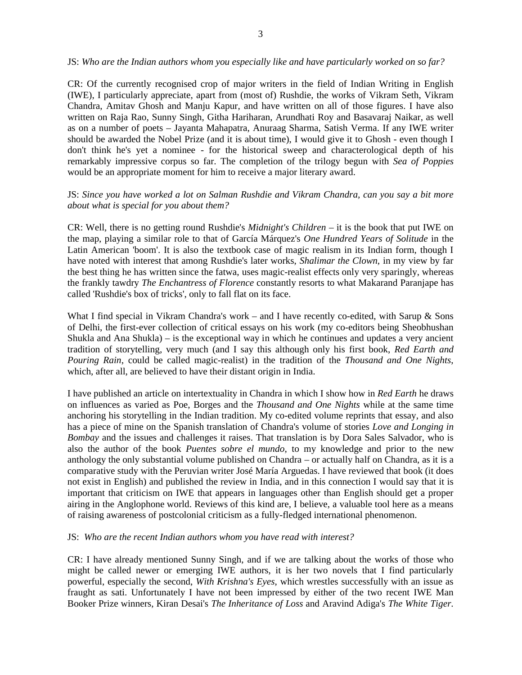#### JS: *Who are the Indian authors whom you especially like and have particularly worked on so far?*

CR: Of the currently recognised crop of major writers in the field of Indian Writing in English (IWE), I particularly appreciate, apart from (most of) Rushdie, the works of Vikram Seth, Vikram Chandra, Amitav Ghosh and Manju Kapur, and have written on all of those figures. I have also written on Raja Rao, Sunny Singh, Githa Hariharan, Arundhati Roy and Basavaraj Naikar, as well as on a number of poets – Jayanta Mahapatra, Anuraag Sharma, Satish Verma. If any IWE writer should be awarded the Nobel Prize (and it is about time), I would give it to Ghosh - even though I don't think he's yet a nominee - for the historical sweep and characterological depth of his remarkably impressive corpus so far. The completion of the trilogy begun with *Sea of Poppies* would be an appropriate moment for him to receive a major literary award.

# JS: *Since you have worked a lot on Salman Rushdie and Vikram Chandra, can you say a bit more about what is special for you about them?*

CR: Well, there is no getting round Rushdie's *Midnight's Children* – it is the book that put IWE on the map, playing a similar role to that of García Márquez's *One Hundred Years of Solitude* in the Latin American 'boom'. It is also the textbook case of magic realism in its Indian form, though I have noted with interest that among Rushdie's later works, *Shalimar the Clown*, in my view by far the best thing he has written since the fatwa, uses magic-realist effects only very sparingly, whereas the frankly tawdry *The Enchantress of Florence* constantly resorts to what Makarand Paranjape has called 'Rushdie's box of tricks', only to fall flat on its face.

What I find special in Vikram Chandra's work – and I have recently co-edited, with Sarup & Sons of Delhi, the first-ever collection of critical essays on his work (my co-editors being Sheobhushan Shukla and Ana Shukla) – is the exceptional way in which he continues and updates a very ancient tradition of storytelling, very much (and I say this although only his first book, *Red Earth and Pouring Rain*, could be called magic-realist) in the tradition of the *Thousand and One Nights*, which, after all, are believed to have their distant origin in India.

I have published an article on intertextuality in Chandra in which I show how in *Red Earth* he draws on influences as varied as Poe, Borges and the *Thousand and One Nights* while at the same time anchoring his storytelling in the Indian tradition. My co-edited volume reprints that essay, and also has a piece of mine on the Spanish translation of Chandra's volume of stories *Love and Longing in Bombay* and the issues and challenges it raises. That translation is by Dora Sales Salvador, who is also the author of the book *Puentes sobre el mundo*, to my knowledge and prior to the new anthology the only substantial volume published on Chandra – or actually half on Chandra, as it is a comparative study with the Peruvian writer José María Arguedas. I have reviewed that book (it does not exist in English) and published the review in India, and in this connection I would say that it is important that criticism on IWE that appears in languages other than English should get a proper airing in the Anglophone world. Reviews of this kind are, I believe, a valuable tool here as a means of raising awareness of postcolonial criticism as a fully-fledged international phenomenon.

#### JS: *Who are the recent Indian authors whom you have read with interest?*

CR: I have already mentioned Sunny Singh, and if we are talking about the works of those who might be called newer or emerging IWE authors, it is her two novels that I find particularly powerful, especially the second, *With Krishna's Eyes*, which wrestles successfully with an issue as fraught as sati. Unfortunately I have not been impressed by either of the two recent IWE Man Booker Prize winners, Kiran Desai's *The Inheritance of Loss* and Aravind Adiga's *The White Tiger*.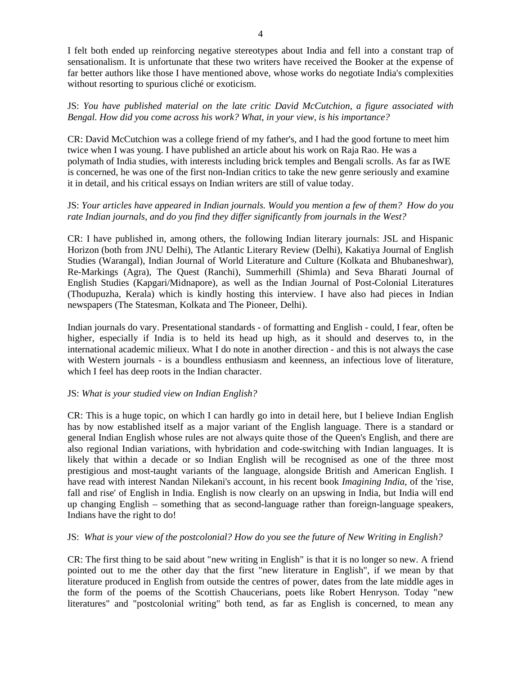I felt both ended up reinforcing negative stereotypes about India and fell into a constant trap of sensationalism. It is unfortunate that these two writers have received the Booker at the expense of far better authors like those I have mentioned above, whose works do negotiate India's complexities without resorting to spurious cliché or exoticism.

JS: *You have published material on the late critic David McCutchion, a figure associated with Bengal. How did you come across his work? What, in your view, is his importance?*

CR: David McCutchion was a college friend of my father's, and I had the good fortune to meet him twice when I was young. I have published an article about his work on Raja Rao. He was a polymath of India studies, with interests including brick temples and Bengali scrolls. As far as IWE is concerned, he was one of the first non-Indian critics to take the new genre seriously and examine it in detail, and his critical essays on Indian writers are still of value today.

# JS: *Your articles have appeared in Indian journals. Would you mention a few of them? How do you rate Indian journals, and do you find they differ significantly from journals in the West?*

CR: I have published in, among others, the following Indian literary journals: JSL and Hispanic Horizon (both from JNU Delhi), The Atlantic Literary Review (Delhi), Kakatiya Journal of English Studies (Warangal), Indian Journal of World Literature and Culture (Kolkata and Bhubaneshwar), Re-Markings (Agra), The Quest (Ranchi), Summerhill (Shimla) and Seva Bharati Journal of English Studies (Kapgari/Midnapore), as well as the Indian Journal of Post-Colonial Literatures (Thodupuzha, Kerala) which is kindly hosting this interview. I have also had pieces in Indian newspapers (The Statesman, Kolkata and The Pioneer, Delhi).

Indian journals do vary. Presentational standards - of formatting and English - could, I fear, often be higher, especially if India is to held its head up high, as it should and deserves to, in the international academic milieux. What I do note in another direction - and this is not always the case with Western journals - is a boundless enthusiasm and keenness, an infectious love of literature, which I feel has deep roots in the Indian character.

## JS: *What is your studied view on Indian English?*

CR: This is a huge topic, on which I can hardly go into in detail here, but I believe Indian English has by now established itself as a major variant of the English language. There is a standard or general Indian English whose rules are not always quite those of the Queen's English, and there are also regional Indian variations, with hybridation and code-switching with Indian languages. It is likely that within a decade or so Indian English will be recognised as one of the three most prestigious and most-taught variants of the language, alongside British and American English. I have read with interest Nandan Nilekani's account, in his recent book *Imagining India*, of the 'rise, fall and rise' of English in India. English is now clearly on an upswing in India, but India will end up changing English – something that as second-language rather than foreign-language speakers, Indians have the right to do!

## JS: *What is your view of the postcolonial? How do you see the future of New Writing in English?*

CR: The first thing to be said about "new writing in English" is that it is no longer so new. A friend pointed out to me the other day that the first "new literature in English", if we mean by that literature produced in English from outside the centres of power, dates from the late middle ages in the form of the poems of the Scottish Chaucerians, poets like Robert Henryson. Today "new literatures" and "postcolonial writing" both tend, as far as English is concerned, to mean any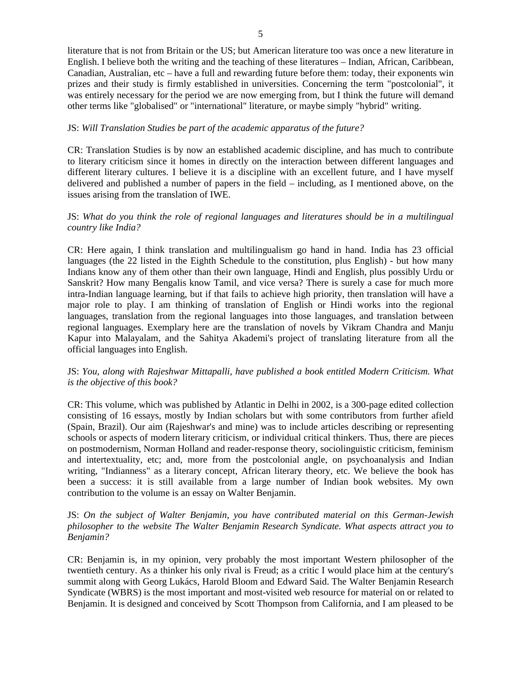literature that is not from Britain or the US; but American literature too was once a new literature in English. I believe both the writing and the teaching of these literatures – Indian, African, Caribbean, Canadian, Australian, etc – have a full and rewarding future before them: today, their exponents win prizes and their study is firmly established in universities. Concerning the term "postcolonial", it was entirely necessary for the period we are now emerging from, but I think the future will demand other terms like "globalised" or "international" literature, or maybe simply "hybrid" writing.

## JS: *Will Translation Studies be part of the academic apparatus of the future?*

CR: Translation Studies is by now an established academic discipline, and has much to contribute to literary criticism since it homes in directly on the interaction between different languages and different literary cultures. I believe it is a discipline with an excellent future, and I have myself delivered and published a number of papers in the field – including, as I mentioned above, on the issues arising from the translation of IWE.

## JS: *What do you think the role of regional languages and literatures should be in a multilingual country like India?*

CR: Here again, I think translation and multilingualism go hand in hand. India has 23 official languages (the 22 listed in the Eighth Schedule to the constitution, plus English) - but how many Indians know any of them other than their own language, Hindi and English, plus possibly Urdu or Sanskrit? How many Bengalis know Tamil, and vice versa? There is surely a case for much more intra-Indian language learning, but if that fails to achieve high priority, then translation will have a major role to play. I am thinking of translation of English or Hindi works into the regional languages, translation from the regional languages into those languages, and translation between regional languages. Exemplary here are the translation of novels by Vikram Chandra and Manju Kapur into Malayalam, and the Sahitya Akademi's project of translating literature from all the official languages into English.

## JS: *You, along with Rajeshwar Mittapalli, have published a book entitled Modern Criticism. What is the objective of this book?*

CR: This volume, which was published by Atlantic in Delhi in 2002, is a 300-page edited collection consisting of 16 essays, mostly by Indian scholars but with some contributors from further afield (Spain, Brazil). Our aim (Rajeshwar's and mine) was to include articles describing or representing schools or aspects of modern literary criticism, or individual critical thinkers. Thus, there are pieces on postmodernism, Norman Holland and reader-response theory, sociolinguistic criticism, feminism and intertextuality, etc; and, more from the postcolonial angle, on psychoanalysis and Indian writing, "Indianness" as a literary concept, African literary theory, etc. We believe the book has been a success: it is still available from a large number of Indian book websites. My own contribution to the volume is an essay on Walter Benjamin.

# JS: *On the subject of Walter Benjamin, you have contributed material on this German-Jewish philosopher to the website The Walter Benjamin Research Syndicate. What aspects attract you to Benjamin?*

CR: Benjamin is, in my opinion, very probably the most important Western philosopher of the twentieth century. As a thinker his only rival is Freud; as a critic I would place him at the century's summit along with Georg Lukács, Harold Bloom and Edward Said. The Walter Benjamin Research Syndicate (WBRS) is the most important and most-visited web resource for material on or related to Benjamin. It is designed and conceived by Scott Thompson from California, and I am pleased to be